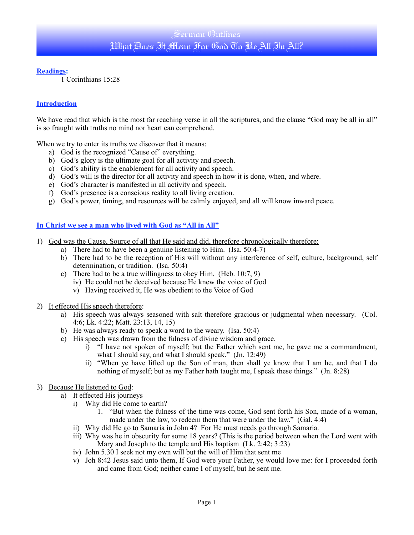# Sermon Outlines What Ares It Mean For God To Be All In All?

#### **Readings:**

1 Corinthians 15:28

### **Introduction**

We have read that which is the most far reaching verse in all the scriptures, and the clause "God may be all in all" is so fraught with truths no mind nor heart can comprehend.

When we try to enter its truths we discover that it means:

- a) God is the recognized "Cause of" everything.
- b) God's glory is the ultimate goal for all activity and speech.
- c) God's ability is the enablement for all activity and speech.
- d) God's will is the director for all activity and speech in how it is done, when, and where.
- e) God's character is manifested in all activity and speech.
- f) God's presence is a conscious reality to all living creation.
- g) God's power, timing, and resources will be calmly enjoyed, and all will know inward peace.

### **In Christ we see a man who lived with God as "All in All"**

- 1) God was the Cause, Source of all that He said and did, therefore chronologically therefore:
	- a) There had to have been a genuine listening to Him. (Isa. 50:4-7)
	- b) There had to be the reception of His will without any interference of self, culture, background, self determination, or tradition. (Isa. 50:4)
	- c) There had to be a true willingness to obey Him. (Heb. 10:7, 9)
		- iv) He could not be deceived because He knew the voice of God
		- v) Having received it, He was obedient to the Voice of God
- 2) It effected His speech therefore:
	- a) His speech was always seasoned with salt therefore gracious or judgmental when necessary. (Col. 4:6; Lk. 4:22; Matt. 23:13, 14, 15)
	- b) He was always ready to speak a word to the weary. (Isa. 50:4)
	- c) His speech was drawn from the fulness of divine wisdom and grace.
		- i) "I have not spoken of myself; but the Father which sent me, he gave me a commandment, what I should say, and what I should speak." (Jn. 12:49)
		- ii) "When ye have lifted up the Son of man, then shall ye know that I am he, and that I do nothing of myself; but as my Father hath taught me, I speak these things." (Jn. 8:28)
- 3) Because He listened to God:
	- a) It effected His journeys
		- i) Why did He come to earth?
			- 1. "But when the fulness of the time was come, God sent forth his Son, made of a woman, made under the law, to redeem them that were under the law." (Gal. 4:4)
		- ii) Why did He go to Samaria in John 4? For He must needs go through Samaria.
		- iii) Why was he in obscurity for some 18 years? (This is the period between when the Lord went with Mary and Joseph to the temple and His baptism (Lk. 2:42; 3:23)
		- iv) John 5.30 I seek not my own will but the will of Him that sent me
		- v) Joh 8:42 Jesus said unto them, If God were your Father, ye would love me: for I proceeded forth and came from God; neither came I of myself, but he sent me.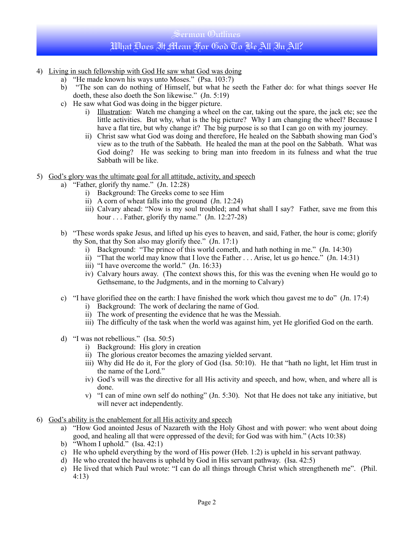# Sermon Outlines What Ares It Mean For God To Be All In All?

- 4) Living in such fellowship with God He saw what God was doing
	- a) "He made known his ways unto Moses." (Psa. 103:7)
	- b) "The son can do nothing of Himself, but what he seeth the Father do: for what things soever He doeth, these also doeth the Son likewise." (Jn. 5:19)
	- c) He saw what God was doing in the bigger picture.
		- i) Illustration: Watch me changing a wheel on the car, taking out the spare, the jack etc; see the little activities. But why, what is the big picture? Why I am changing the wheel? Because I have a flat tire, but why change it? The big purpose is so that I can go on with my journey.
		- ii) Christ saw what God was doing and therefore, He healed on the Sabbath showing man God's view as to the truth of the Sabbath. He healed the man at the pool on the Sabbath. What was God doing? He was seeking to bring man into freedom in its fulness and what the true Sabbath will be like.
- 5) God's glory was the ultimate goal for all attitude, activity, and speech
	- a) "Father, glorify thy name." (Jn. 12:28)
		- i) Background: The Greeks come to see Him
		- ii) A corn of wheat falls into the ground (Jn. 12:24)
		- iii) Calvary ahead: "Now is my soul troubled; and what shall I say? Father, save me from this hour . . . Father, glorify thy name." (Jn. 12:27-28)
	- b) "These words spake Jesus, and lifted up his eyes to heaven, and said, Father, the hour is come; glorify thy Son, that thy Son also may glorify thee." (Jn. 17:1)
		- i) Background: "The prince of this world cometh, and hath nothing in me." (Jn. 14:30)
		- i) Example may know that I love the Father . . . Arise, let us go hence." (Jn. 14:31)
		- iii) "I have overcome the world." (Jn. 16:33)
		- iv) Calvary hours away. (The context shows this, for this was the evening when He would go to Gethsemane, to the Judgments, and in the morning to Calvary)
	- c) "I have glorified thee on the earth: I have finished the work which thou gavest me to do"  $(In 17:4)$ 
		- i) Background: The work of declaring the name of God.
		- ii) The work of presenting the evidence that he was the Messiah.
		- iii) The difficulty of the task when the world was against him, yet He glorified God on the earth.
	- d) "I was not rebellious." (Isa. 50:5)
		- i) Background: His glory in creation
		- ii) The glorious creator becomes the amazing yielded servant.
		- iii) Why did He do it, For the glory of God (Isa. 50:10). He that "hath no light, let Him trust in the name of the Lord."
		- iv) God's will was the directive for all His activity and speech, and how, when, and where all is done.
		- v) "I can of mine own self do nothing" (Jn. 5:30). Not that He does not take any initiative, but will never act independently.
- 6) God's ability is the enablement for all His activity and speech
	- a) "How God anointed Jesus of Nazareth with the Holy Ghost and with power: who went about doing good, and healing all that were oppressed of the devil; for God was with him." (Acts 10:38)
	- b) "Whom I uphold." (Isa. 42:1)
	- c) He who upheld everything by the word of His power (Heb. 1:2) is upheld in his servant pathway.
	- d) He who created the heavens is upheld by God in His servant pathway. (Isa. 42:5)
	- e) He lived that which Paul wrote: "I can do all things through Christ which strengtheneth me". (Phil. 4:13)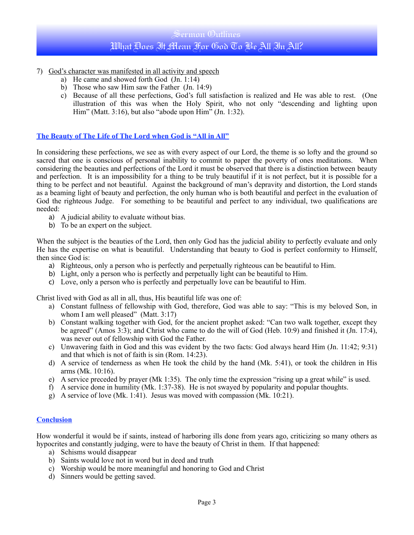# Sermon Outlines What Ares It Mean For God To Be All In All?

- 7) God's character was manifested in all activity and speech
	- a) He came and showed forth God (Jn. 1:14)
	- b) Those who saw Him saw the Father (Jn. 14:9)
	- c) Because of all these perfections, God's full satisfaction is realized and He was able to rest. (One illustration of this was when the Holy Spirit, who not only "descending and lighting upon Him" (Matt. 3:16), but also "abode upon  $\text{Him}^{\mathcal{P}}$  (Jn. 1:32).

### **The Beauty of The Life of The Lord when God is "All in All"**

In considering these perfections, we see as with every aspect of our Lord, the theme is so lofty and the ground so sacred that one is conscious of personal inability to commit to paper the poverty of ones meditations. When considering the beauties and perfections of the Lord it must be observed that there is a distinction between beauty and perfection. It is an impossibility for a thing to be truly beautiful if it is not perfect, but it is possible for a thing to be perfect and not beautiful. Against the background of man's depravity and distortion, the Lord stands as a beaming light of beauty and perfection, the only human who is both beautiful and perfect in the evaluation of God the righteous Judge. For something to be beautiful and perfect to any individual, two qualifications are needed:

- a) A judicial ability to evaluate without bias.
- b) To be an expert on the subject.

When the subject is the beauties of the Lord, then only God has the judicial ability to perfectly evaluate and only He has the expertise on what is beautiful. Understanding that beauty to God is perfect conformity to Himself, then since God is:

- a) Righteous, only a person who is perfectly and perpetually righteous can be beautiful to Him.
- b) Light, only a person who is perfectly and perpetually light can be beautiful to Him.
- c) Love, only a person who is perfectly and perpetually love can be beautiful to Him.

Christ lived with God as all in all, thus, His beautiful life was one of:

- a) Constant fullness of fellowship with God, therefore, God was able to say: "This is my beloved Son, in whom I am well pleased" (Matt. 3:17)
- b) Constant walking together with God, for the ancient prophet asked: "Can two walk together, except they be agreed" (Amos 3:3); and Christ who came to do the will of God (Heb. 10:9) and finished it (Jn. 17:4), was never out of fellowship with God the Father.
- c) Unwavering faith in God and this was evident by the two facts: God always heard Him (Jn. 11:42; 9:31) and that which is not of faith is sin (Rom. 14:23).
- d) A service of tenderness as when He took the child by the hand (Mk. 5:41), or took the children in His arms (Mk. 10:16).
- e) A service preceded by prayer (Mk 1:35). The only time the expression "rising up a great while" is used.
- f) A service done in humility (Mk. 1:37-38). He is not swayed by popularity and popular thoughts.
- g) A service of love (Mk. 1:41). Jesus was moved with compassion (Mk. 10:21).

#### **Conclusion**

How wonderful it would be if saints, instead of harboring ills done from years ago, criticizing so many others as hypocrites and constantly judging, were to have the beauty of Christ in them. If that happened:

- a) Schisms would disappear
- b) Saints would love not in word but in deed and truth
- c) Worship would be more meaningful and honoring to God and Christ
- d) Sinners would be getting saved.